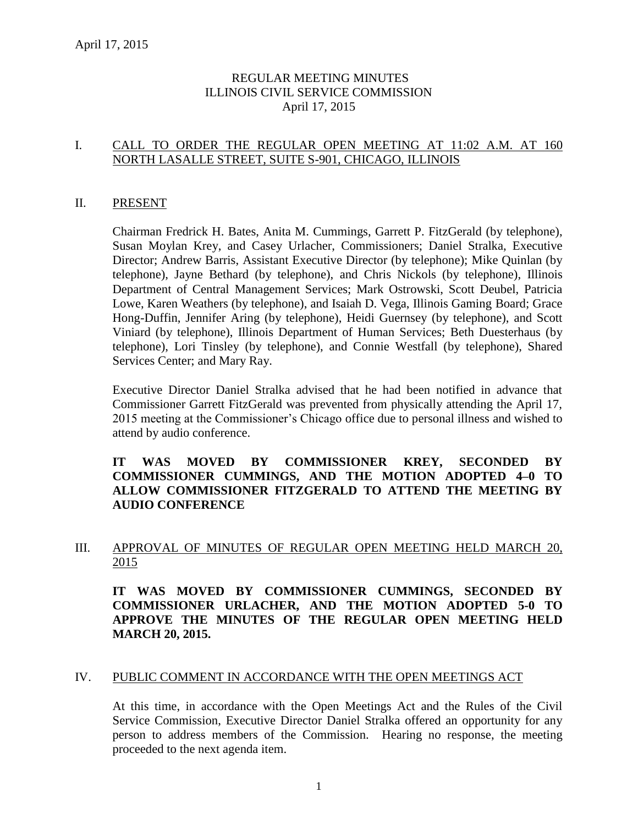## REGULAR MEETING MINUTES ILLINOIS CIVIL SERVICE COMMISSION April 17, 2015

## I. CALL TO ORDER THE REGULAR OPEN MEETING AT 11:02 A.M. AT 160 NORTH LASALLE STREET, SUITE S-901, CHICAGO, ILLINOIS

#### II. PRESENT

Chairman Fredrick H. Bates, Anita M. Cummings, Garrett P. FitzGerald (by telephone), Susan Moylan Krey, and Casey Urlacher, Commissioners; Daniel Stralka, Executive Director; Andrew Barris, Assistant Executive Director (by telephone); Mike Quinlan (by telephone), Jayne Bethard (by telephone), and Chris Nickols (by telephone), Illinois Department of Central Management Services; Mark Ostrowski, Scott Deubel, Patricia Lowe, Karen Weathers (by telephone), and Isaiah D. Vega, Illinois Gaming Board; Grace Hong-Duffin, Jennifer Aring (by telephone), Heidi Guernsey (by telephone), and Scott Viniard (by telephone), Illinois Department of Human Services; Beth Duesterhaus (by telephone), Lori Tinsley (by telephone), and Connie Westfall (by telephone), Shared Services Center; and Mary Ray.

Executive Director Daniel Stralka advised that he had been notified in advance that Commissioner Garrett FitzGerald was prevented from physically attending the April 17, 2015 meeting at the Commissioner's Chicago office due to personal illness and wished to attend by audio conference.

## **IT WAS MOVED BY COMMISSIONER KREY, SECONDED BY COMMISSIONER CUMMINGS, AND THE MOTION ADOPTED 4–0 TO ALLOW COMMISSIONER FITZGERALD TO ATTEND THE MEETING BY AUDIO CONFERENCE**

## III. APPROVAL OF MINUTES OF REGULAR OPEN MEETING HELD MARCH 20, 2015

**IT WAS MOVED BY COMMISSIONER CUMMINGS, SECONDED BY COMMISSIONER URLACHER, AND THE MOTION ADOPTED 5-0 TO APPROVE THE MINUTES OF THE REGULAR OPEN MEETING HELD MARCH 20, 2015.** 

#### IV. PUBLIC COMMENT IN ACCORDANCE WITH THE OPEN MEETINGS ACT

At this time, in accordance with the Open Meetings Act and the Rules of the Civil Service Commission, Executive Director Daniel Stralka offered an opportunity for any person to address members of the Commission. Hearing no response, the meeting proceeded to the next agenda item.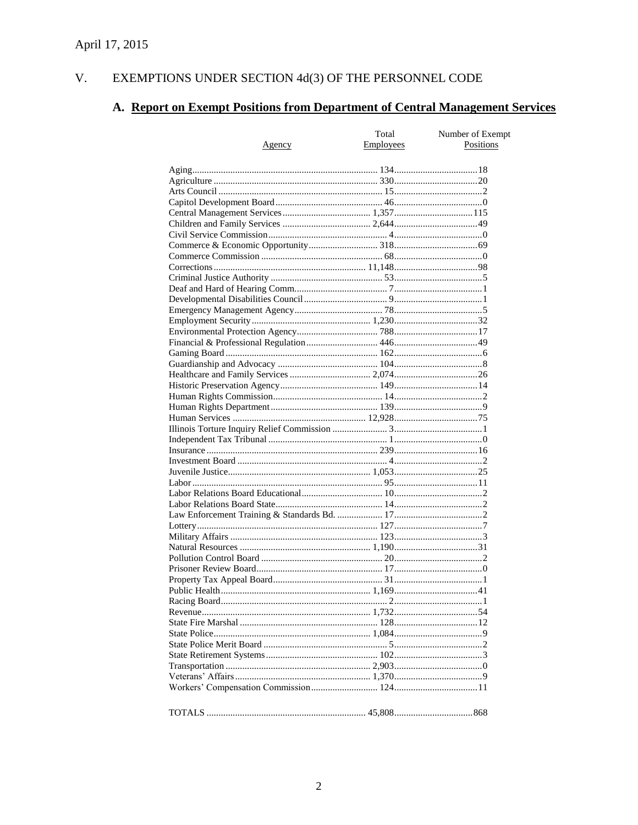#### V. EXEMPTIONS UNDER SECTION  $4d(3)$  OF THE PERSONNEL CODE

# A. Report on Exempt Positions from Department of Central Management Services

|               | Total     | Number of Exempt<br>Positions |
|---------------|-----------|-------------------------------|
| <u>Agency</u> | Employees |                               |
|               |           |                               |
|               |           |                               |
|               |           |                               |
|               |           |                               |
|               |           |                               |
|               |           |                               |
|               |           |                               |
|               |           |                               |
|               |           |                               |
|               |           |                               |
|               |           |                               |
|               |           |                               |
|               |           |                               |
|               |           |                               |
|               |           |                               |
|               |           |                               |
|               |           |                               |
|               |           |                               |
|               |           |                               |
|               |           |                               |
|               |           |                               |
|               |           |                               |
|               |           |                               |
|               |           |                               |
|               |           |                               |
|               |           |                               |
|               |           |                               |
|               |           |                               |
|               |           |                               |
|               |           |                               |
|               |           |                               |
|               |           |                               |
|               |           |                               |
|               |           |                               |
|               |           |                               |
|               |           |                               |
|               |           |                               |
|               |           |                               |
|               |           |                               |
|               |           |                               |
|               |           |                               |
|               |           |                               |
|               |           |                               |
|               |           |                               |
|               |           |                               |
|               |           |                               |
|               |           |                               |
|               |           |                               |
|               |           |                               |
|               |           |                               |
|               |           |                               |
|               |           |                               |
|               |           |                               |
|               |           |                               |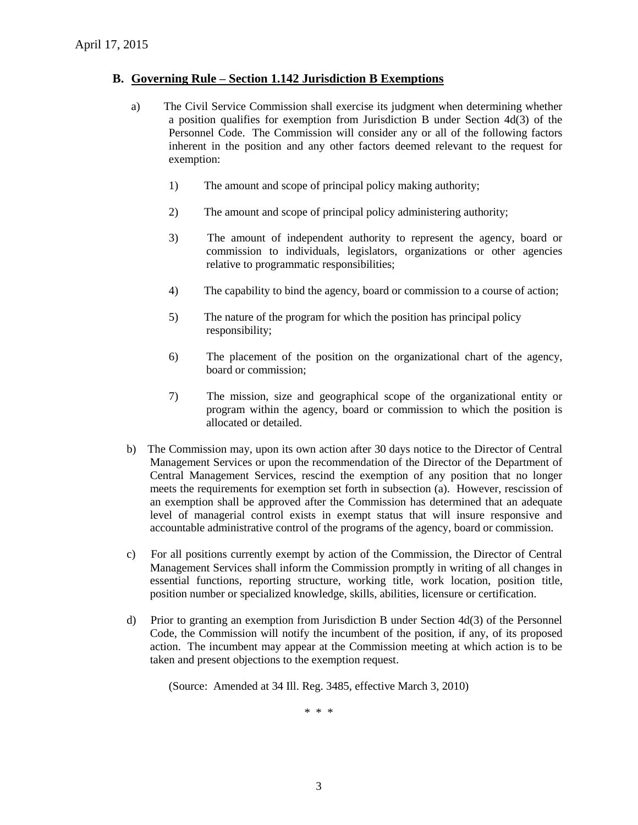#### **B. Governing Rule – Section 1.142 Jurisdiction B Exemptions**

- a) The Civil Service Commission shall exercise its judgment when determining whether a position qualifies for exemption from Jurisdiction B under Section 4d(3) of the Personnel Code. The Commission will consider any or all of the following factors inherent in the position and any other factors deemed relevant to the request for exemption:
	- 1) The amount and scope of principal policy making authority;
	- 2) The amount and scope of principal policy administering authority;
	- 3) The amount of independent authority to represent the agency, board or commission to individuals, legislators, organizations or other agencies relative to programmatic responsibilities;
	- 4) The capability to bind the agency, board or commission to a course of action;
	- 5) The nature of the program for which the position has principal policy responsibility;
	- 6) The placement of the position on the organizational chart of the agency, board or commission;
	- 7) The mission, size and geographical scope of the organizational entity or program within the agency, board or commission to which the position is allocated or detailed.
- b) The Commission may, upon its own action after 30 days notice to the Director of Central Management Services or upon the recommendation of the Director of the Department of Central Management Services, rescind the exemption of any position that no longer meets the requirements for exemption set forth in subsection (a). However, rescission of an exemption shall be approved after the Commission has determined that an adequate level of managerial control exists in exempt status that will insure responsive and accountable administrative control of the programs of the agency, board or commission.
- c) For all positions currently exempt by action of the Commission, the Director of Central Management Services shall inform the Commission promptly in writing of all changes in essential functions, reporting structure, working title, work location, position title, position number or specialized knowledge, skills, abilities, licensure or certification.
- d) Prior to granting an exemption from Jurisdiction B under Section 4d(3) of the Personnel Code, the Commission will notify the incumbent of the position, if any, of its proposed action. The incumbent may appear at the Commission meeting at which action is to be taken and present objections to the exemption request.

(Source: Amended at 34 Ill. Reg. 3485, effective March 3, 2010)

\* \* \*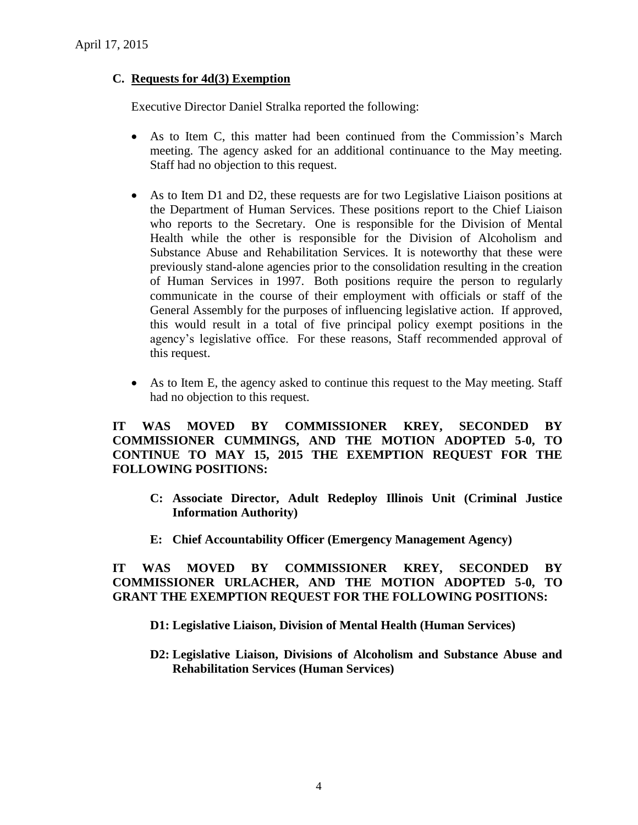## **C. Requests for 4d(3) Exemption**

Executive Director Daniel Stralka reported the following:

- As to Item C, this matter had been continued from the Commission's March meeting. The agency asked for an additional continuance to the May meeting. Staff had no objection to this request.
- As to Item D1 and D2, these requests are for two Legislative Liaison positions at the Department of Human Services. These positions report to the Chief Liaison who reports to the Secretary. One is responsible for the Division of Mental Health while the other is responsible for the Division of Alcoholism and Substance Abuse and Rehabilitation Services. It is noteworthy that these were previously stand-alone agencies prior to the consolidation resulting in the creation of Human Services in 1997. Both positions require the person to regularly communicate in the course of their employment with officials or staff of the General Assembly for the purposes of influencing legislative action. If approved, this would result in a total of five principal policy exempt positions in the agency's legislative office. For these reasons, Staff recommended approval of this request.
- As to Item E, the agency asked to continue this request to the May meeting. Staff had no objection to this request.

**IT WAS MOVED BY COMMISSIONER KREY, SECONDED BY COMMISSIONER CUMMINGS, AND THE MOTION ADOPTED 5-0, TO CONTINUE TO MAY 15, 2015 THE EXEMPTION REQUEST FOR THE FOLLOWING POSITIONS:**

- **C: Associate Director, Adult Redeploy Illinois Unit (Criminal Justice Information Authority)**
- **E: Chief Accountability Officer (Emergency Management Agency)**

**IT WAS MOVED BY COMMISSIONER KREY, SECONDED BY COMMISSIONER URLACHER, AND THE MOTION ADOPTED 5-0, TO GRANT THE EXEMPTION REQUEST FOR THE FOLLOWING POSITIONS:**

- **D1: Legislative Liaison, Division of Mental Health (Human Services)**
- **D2: Legislative Liaison, Divisions of Alcoholism and Substance Abuse and Rehabilitation Services (Human Services)**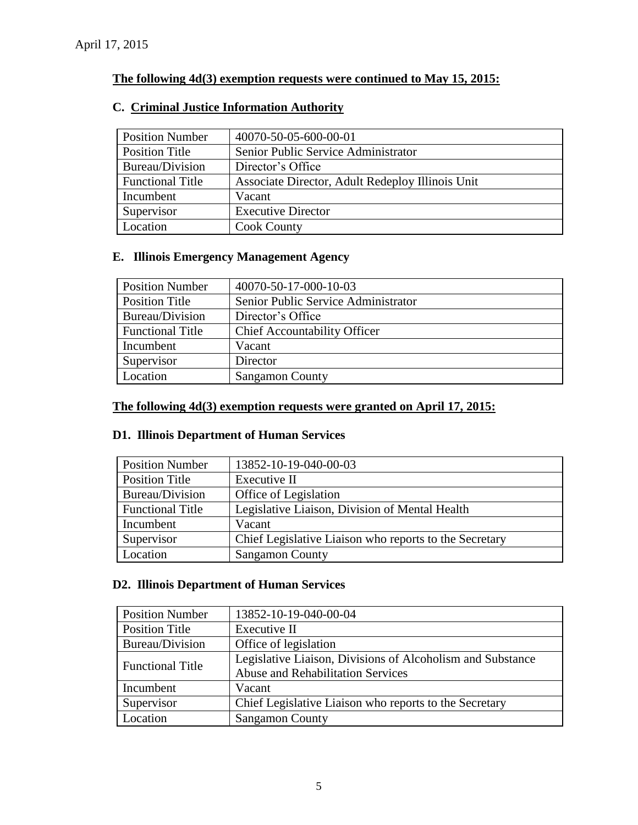## **The following 4d(3) exemption requests were continued to May 15, 2015:**

| <b>Position Number</b>  | 40070-50-05-600-00-01                            |
|-------------------------|--------------------------------------------------|
| Position Title          | Senior Public Service Administrator              |
| Bureau/Division         | Director's Office                                |
| <b>Functional Title</b> | Associate Director, Adult Redeploy Illinois Unit |
| Incumbent               | Vacant                                           |
| Supervisor              | <b>Executive Director</b>                        |
| Location                | <b>Cook County</b>                               |

## **C. Criminal Justice Information Authority**

## **E. Illinois Emergency Management Agency**

| <b>Position Number</b>  | 40070-50-17-000-10-03               |
|-------------------------|-------------------------------------|
| <b>Position Title</b>   | Senior Public Service Administrator |
| Bureau/Division         | Director's Office                   |
| <b>Functional Title</b> | <b>Chief Accountability Officer</b> |
| Incumbent               | Vacant                              |
| Supervisor              | Director                            |
| Location                | <b>Sangamon County</b>              |

## **The following 4d(3) exemption requests were granted on April 17, 2015:**

## **D1. Illinois Department of Human Services**

| <b>Position Number</b>  | 13852-10-19-040-00-03                                  |
|-------------------------|--------------------------------------------------------|
| Position Title          | Executive II                                           |
| Bureau/Division         | Office of Legislation                                  |
| <b>Functional Title</b> | Legislative Liaison, Division of Mental Health         |
| Incumbent               | Vacant                                                 |
| Supervisor              | Chief Legislative Liaison who reports to the Secretary |
| Location                | <b>Sangamon County</b>                                 |

## **D2. Illinois Department of Human Services**

| <b>Position Number</b>  | 13852-10-19-040-00-04                                      |
|-------------------------|------------------------------------------------------------|
| <b>Position Title</b>   | Executive II                                               |
| Bureau/Division         | Office of legislation                                      |
| <b>Functional Title</b> | Legislative Liaison, Divisions of Alcoholism and Substance |
|                         | <b>Abuse and Rehabilitation Services</b>                   |
| Incumbent               | Vacant                                                     |
| Supervisor              | Chief Legislative Liaison who reports to the Secretary     |
| Location                | <b>Sangamon County</b>                                     |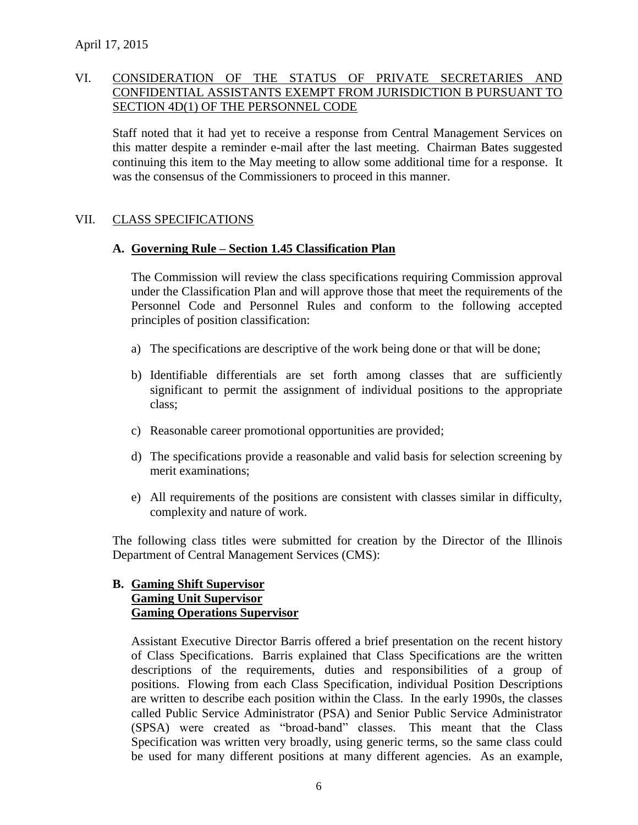## VI. CONSIDERATION OF THE STATUS OF PRIVATE SECRETARIES AND CONFIDENTIAL ASSISTANTS EXEMPT FROM JURISDICTION B PURSUANT TO SECTION 4D(1) OF THE PERSONNEL CODE

Staff noted that it had yet to receive a response from Central Management Services on this matter despite a reminder e-mail after the last meeting. Chairman Bates suggested continuing this item to the May meeting to allow some additional time for a response. It was the consensus of the Commissioners to proceed in this manner.

#### VII. CLASS SPECIFICATIONS

## **A. Governing Rule – Section 1.45 Classification Plan**

The Commission will review the class specifications requiring Commission approval under the Classification Plan and will approve those that meet the requirements of the Personnel Code and Personnel Rules and conform to the following accepted principles of position classification:

- a) The specifications are descriptive of the work being done or that will be done;
- b) Identifiable differentials are set forth among classes that are sufficiently significant to permit the assignment of individual positions to the appropriate class;
- c) Reasonable career promotional opportunities are provided;
- d) The specifications provide a reasonable and valid basis for selection screening by merit examinations;
- e) All requirements of the positions are consistent with classes similar in difficulty, complexity and nature of work.

The following class titles were submitted for creation by the Director of the Illinois Department of Central Management Services (CMS):

## **B. Gaming Shift Supervisor Gaming Unit Supervisor Gaming Operations Supervisor**

Assistant Executive Director Barris offered a brief presentation on the recent history of Class Specifications. Barris explained that Class Specifications are the written descriptions of the requirements, duties and responsibilities of a group of positions. Flowing from each Class Specification, individual Position Descriptions are written to describe each position within the Class. In the early 1990s, the classes called Public Service Administrator (PSA) and Senior Public Service Administrator (SPSA) were created as "broad-band" classes. This meant that the Class Specification was written very broadly, using generic terms, so the same class could be used for many different positions at many different agencies. As an example,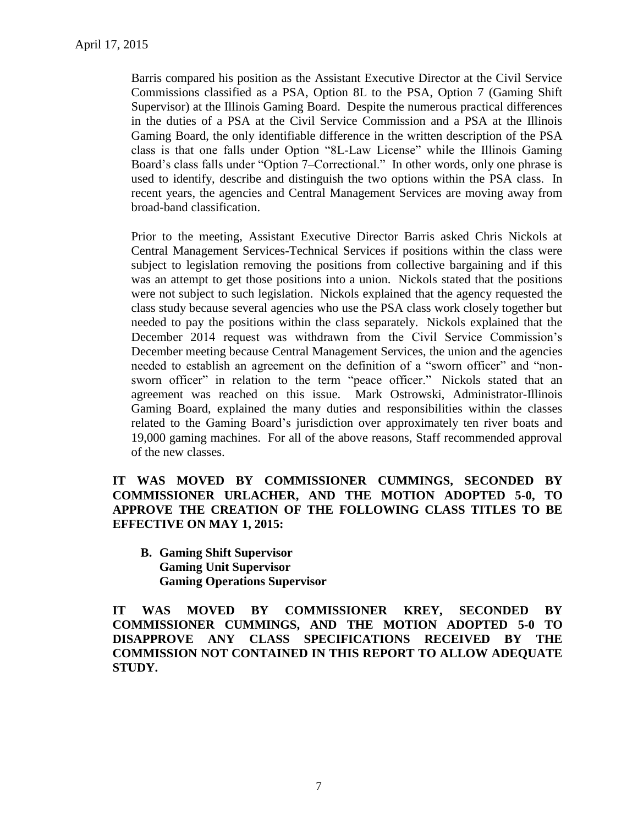Barris compared his position as the Assistant Executive Director at the Civil Service Commissions classified as a PSA, Option 8L to the PSA, Option 7 (Gaming Shift Supervisor) at the Illinois Gaming Board. Despite the numerous practical differences in the duties of a PSA at the Civil Service Commission and a PSA at the Illinois Gaming Board, the only identifiable difference in the written description of the PSA class is that one falls under Option "8L-Law License" while the Illinois Gaming Board's class falls under "Option 7–Correctional." In other words, only one phrase is used to identify, describe and distinguish the two options within the PSA class. In recent years, the agencies and Central Management Services are moving away from broad-band classification.

Prior to the meeting, Assistant Executive Director Barris asked Chris Nickols at Central Management Services-Technical Services if positions within the class were subject to legislation removing the positions from collective bargaining and if this was an attempt to get those positions into a union. Nickols stated that the positions were not subject to such legislation. Nickols explained that the agency requested the class study because several agencies who use the PSA class work closely together but needed to pay the positions within the class separately. Nickols explained that the December 2014 request was withdrawn from the Civil Service Commission's December meeting because Central Management Services, the union and the agencies needed to establish an agreement on the definition of a "sworn officer" and "nonsworn officer" in relation to the term "peace officer." Nickols stated that an agreement was reached on this issue. Mark Ostrowski, Administrator-Illinois Gaming Board, explained the many duties and responsibilities within the classes related to the Gaming Board's jurisdiction over approximately ten river boats and 19,000 gaming machines. For all of the above reasons, Staff recommended approval of the new classes.

**IT WAS MOVED BY COMMISSIONER CUMMINGS, SECONDED BY COMMISSIONER URLACHER, AND THE MOTION ADOPTED 5-0, TO APPROVE THE CREATION OF THE FOLLOWING CLASS TITLES TO BE EFFECTIVE ON MAY 1, 2015:**

**B. Gaming Shift Supervisor Gaming Unit Supervisor Gaming Operations Supervisor**

**IT WAS MOVED BY COMMISSIONER KREY, SECONDED BY COMMISSIONER CUMMINGS, AND THE MOTION ADOPTED 5-0 TO DISAPPROVE ANY CLASS SPECIFICATIONS RECEIVED BY THE COMMISSION NOT CONTAINED IN THIS REPORT TO ALLOW ADEQUATE STUDY.**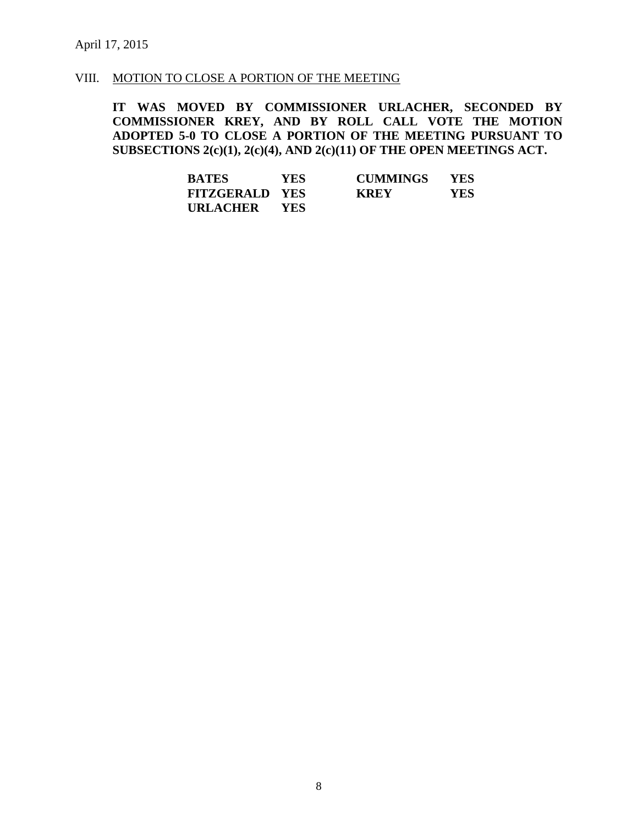#### VIII. MOTION TO CLOSE A PORTION OF THE MEETING

**IT WAS MOVED BY COMMISSIONER URLACHER, SECONDED BY COMMISSIONER KREY, AND BY ROLL CALL VOTE THE MOTION ADOPTED 5-0 TO CLOSE A PORTION OF THE MEETING PURSUANT TO SUBSECTIONS 2(c)(1), 2(c)(4), AND 2(c)(11) OF THE OPEN MEETINGS ACT.**

| <b>BATES</b>          | <b>YES</b> | <b>CUMMINGS</b> | <b>YES</b> |
|-----------------------|------------|-----------------|------------|
| <b>FITZGERALD YES</b> |            | <b>KREY</b>     | YES        |
| URLACHER              | <b>YES</b> |                 |            |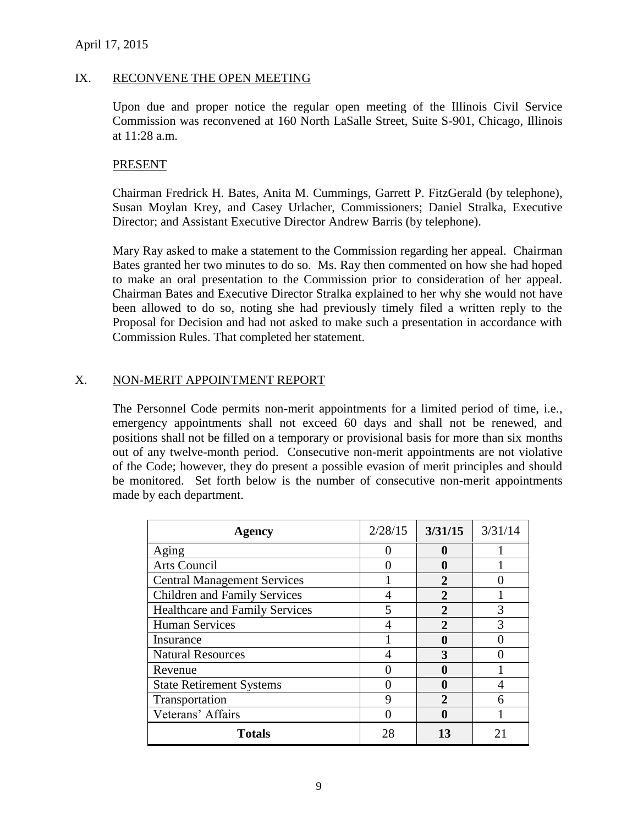#### IX. RECONVENE THE OPEN MEETING

Upon due and proper notice the regular open meeting of the Illinois Civil Service Commission was reconvened at 160 North LaSalle Street, Suite S-901, Chicago, Illinois at 11:28 a.m.

#### PRESENT

Chairman Fredrick H. Bates, Anita M. Cummings, Garrett P. FitzGerald (by telephone), Susan Moylan Krey, and Casey Urlacher, Commissioners; Daniel Stralka, Executive Director; and Assistant Executive Director Andrew Barris (by telephone).

Mary Ray asked to make a statement to the Commission regarding her appeal. Chairman Bates granted her two minutes to do so. Ms. Ray then commented on how she had hoped to make an oral presentation to the Commission prior to consideration of her appeal. Chairman Bates and Executive Director Stralka explained to her why she would not have been allowed to do so, noting she had previously timely filed a written reply to the Proposal for Decision and had not asked to make such a presentation in accordance with Commission Rules. That completed her statement.

## X. NON-MERIT APPOINTMENT REPORT

The Personnel Code permits non-merit appointments for a limited period of time, i.e., emergency appointments shall not exceed 60 days and shall not be renewed, and positions shall not be filled on a temporary or provisional basis for more than six months out of any twelve-month period. Consecutive non-merit appointments are not violative of the Code; however, they do present a possible evasion of merit principles and should be monitored. Set forth below is the number of consecutive non-merit appointments made by each department.

| <b>Agency</b>                         | 2/28/15 | 3/31/15      | 3/31/14 |
|---------------------------------------|---------|--------------|---------|
| Aging                                 |         |              |         |
| Arts Council                          |         |              |         |
| <b>Central Management Services</b>    |         |              |         |
| Children and Family Services          |         | $\mathbf{2}$ |         |
| <b>Healthcare and Family Services</b> |         | 2            | 3       |
| <b>Human Services</b>                 |         | $\mathbf{2}$ | 3       |
| Insurance                             |         |              |         |
| <b>Natural Resources</b>              |         | 3            |         |
| Revenue                               |         |              |         |
| <b>State Retirement Systems</b>       |         | O            |         |
| Transportation                        |         |              |         |
| Veterans' Affairs                     |         | O            |         |
| <b>Totals</b>                         | 28      | 13           |         |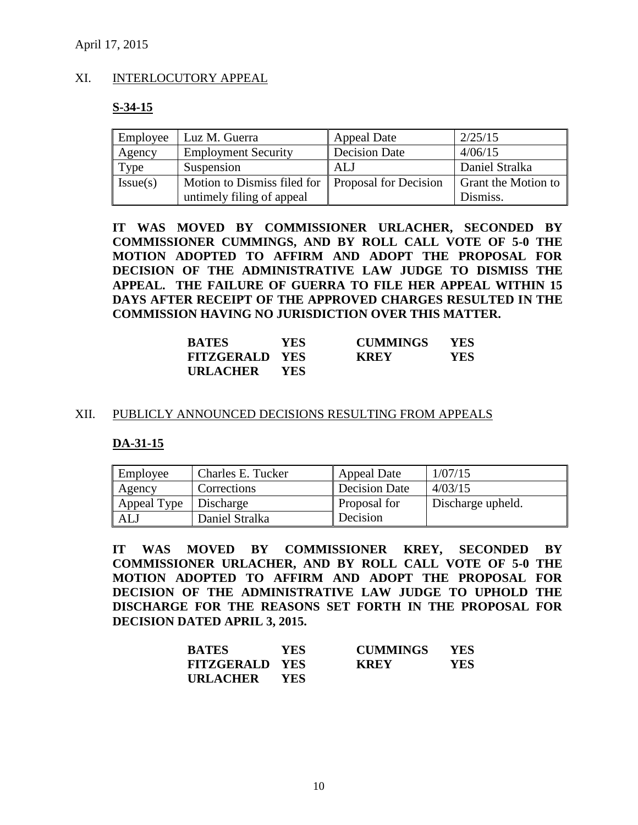#### XI. INTERLOCUTORY APPEAL

#### **S-34-15**

| Employee | Luz M. Guerra                                     | <b>Appeal Date</b>   | 2/25/15             |
|----------|---------------------------------------------------|----------------------|---------------------|
| Agency   | <b>Employment Security</b>                        | <b>Decision Date</b> | 4/06/15             |
| Type     | Suspension                                        | ALJ                  | Daniel Stralka      |
| Issue(s) | Motion to Dismiss filed for Proposal for Decision |                      | Grant the Motion to |
|          | untimely filing of appeal                         |                      | Dismiss.            |

**IT WAS MOVED BY COMMISSIONER URLACHER, SECONDED BY COMMISSIONER CUMMINGS, AND BY ROLL CALL VOTE OF 5-0 THE MOTION ADOPTED TO AFFIRM AND ADOPT THE PROPOSAL FOR DECISION OF THE ADMINISTRATIVE LAW JUDGE TO DISMISS THE APPEAL. THE FAILURE OF GUERRA TO FILE HER APPEAL WITHIN 15 DAYS AFTER RECEIPT OF THE APPROVED CHARGES RESULTED IN THE COMMISSION HAVING NO JURISDICTION OVER THIS MATTER.**

| <b>BATES</b>          | <b>YES</b> | <b>CUMMINGS</b> | <b>YES</b> |
|-----------------------|------------|-----------------|------------|
| <b>FITZGERALD YES</b> |            | <b>KREY</b>     | YES        |
| URLACHER              | <b>YES</b> |                 |            |

#### XII. PUBLICLY ANNOUNCED DECISIONS RESULTING FROM APPEALS

#### **DA-31-15**

| Employee    | Charles E. Tucker | <b>Appeal Date</b>   | 1/07/15           |
|-------------|-------------------|----------------------|-------------------|
| Agency      | Corrections       | <b>Decision Date</b> | 4/03/15           |
| Appeal Type | Discharge         | Proposal for         | Discharge upheld. |
| ALJ         | Daniel Stralka    | Decision             |                   |

**IT WAS MOVED BY COMMISSIONER KREY, SECONDED BY COMMISSIONER URLACHER, AND BY ROLL CALL VOTE OF 5-0 THE MOTION ADOPTED TO AFFIRM AND ADOPT THE PROPOSAL FOR DECISION OF THE ADMINISTRATIVE LAW JUDGE TO UPHOLD THE DISCHARGE FOR THE REASONS SET FORTH IN THE PROPOSAL FOR DECISION DATED APRIL 3, 2015.**

| <b>BATES</b>          | <b>YES</b> | <b>CUMMINGS</b> | <b>YES</b> |
|-----------------------|------------|-----------------|------------|
| <b>FITZGERALD YES</b> |            | <b>KREY</b>     | YES        |
| <b>URLACHER</b>       | - YES      |                 |            |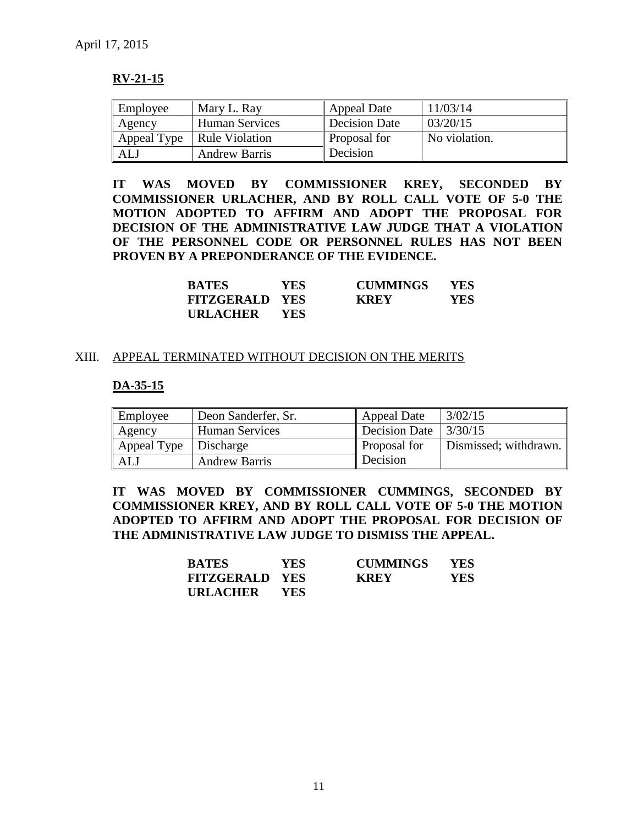## **RV-21-15**

| Employee | Mary L. Ray                  | Appeal Date         | 11/03/14      |
|----------|------------------------------|---------------------|---------------|
| Agency   | <b>Human Services</b>        | Decision Date       | 03/20/15      |
|          | Appeal Type   Rule Violation | <b>Proposal for</b> | No violation. |
| ALJ      | <b>Andrew Barris</b>         | Decision            |               |

**IT WAS MOVED BY COMMISSIONER KREY, SECONDED BY COMMISSIONER URLACHER, AND BY ROLL CALL VOTE OF 5-0 THE MOTION ADOPTED TO AFFIRM AND ADOPT THE PROPOSAL FOR DECISION OF THE ADMINISTRATIVE LAW JUDGE THAT A VIOLATION OF THE PERSONNEL CODE OR PERSONNEL RULES HAS NOT BEEN PROVEN BY A PREPONDERANCE OF THE EVIDENCE.**

| <b>BATES</b>          | <b>YES</b> | <b>CUMMINGS</b> | <b>YES</b> |
|-----------------------|------------|-----------------|------------|
| <b>FITZGERALD YES</b> |            | <b>KREY</b>     | YES.       |
| URLACHER              | <b>YES</b> |                 |            |

#### XIII. APPEAL TERMINATED WITHOUT DECISION ON THE MERITS

#### **DA-35-15**

| Employee                | Deon Sanderfer, Sr.   | <b>Appeal Date</b>  | 3/02/15               |
|-------------------------|-----------------------|---------------------|-----------------------|
| Agency                  | <b>Human Services</b> | Decision Date       | 3/30/15               |
| Appeal Type   Discharge |                       | <b>Proposal for</b> | Dismissed; withdrawn. |
| ALJ                     | <b>Andrew Barris</b>  | Decision            |                       |

**IT WAS MOVED BY COMMISSIONER CUMMINGS, SECONDED BY COMMISSIONER KREY, AND BY ROLL CALL VOTE OF 5-0 THE MOTION ADOPTED TO AFFIRM AND ADOPT THE PROPOSAL FOR DECISION OF THE ADMINISTRATIVE LAW JUDGE TO DISMISS THE APPEAL.**

| <b>BATES</b>          | <b>YES</b> | <b>CUMMINGS</b> | <b>YES</b> |
|-----------------------|------------|-----------------|------------|
| <b>FITZGERALD YES</b> |            | <b>KREY</b>     | YES        |
| URLACHER              | <b>YES</b> |                 |            |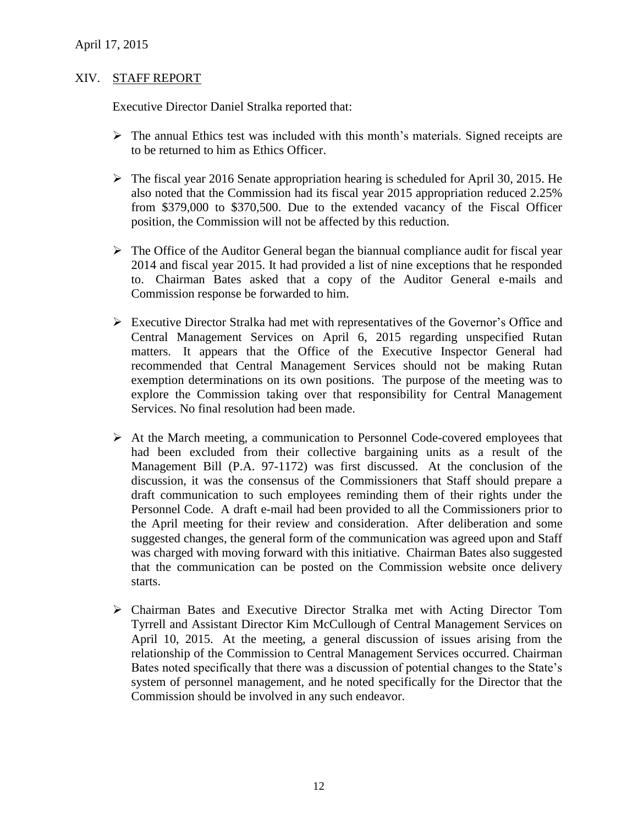#### XIV. STAFF REPORT

Executive Director Daniel Stralka reported that:

- $\triangleright$  The annual Ethics test was included with this month's materials. Signed receipts are to be returned to him as Ethics Officer.
- $\triangleright$  The fiscal year 2016 Senate appropriation hearing is scheduled for April 30, 2015. He also noted that the Commission had its fiscal year 2015 appropriation reduced 2.25% from \$379,000 to \$370,500. Due to the extended vacancy of the Fiscal Officer position, the Commission will not be affected by this reduction.
- $\triangleright$  The Office of the Auditor General began the biannual compliance audit for fiscal year 2014 and fiscal year 2015. It had provided a list of nine exceptions that he responded to. Chairman Bates asked that a copy of the Auditor General e-mails and Commission response be forwarded to him.
- $\triangleright$  Executive Director Stralka had met with representatives of the Governor's Office and Central Management Services on April 6, 2015 regarding unspecified Rutan matters. It appears that the Office of the Executive Inspector General had recommended that Central Management Services should not be making Rutan exemption determinations on its own positions. The purpose of the meeting was to explore the Commission taking over that responsibility for Central Management Services. No final resolution had been made.
- $\triangleright$  At the March meeting, a communication to Personnel Code-covered employees that had been excluded from their collective bargaining units as a result of the Management Bill (P.A. 97-1172) was first discussed. At the conclusion of the discussion, it was the consensus of the Commissioners that Staff should prepare a draft communication to such employees reminding them of their rights under the Personnel Code. A draft e-mail had been provided to all the Commissioners prior to the April meeting for their review and consideration. After deliberation and some suggested changes, the general form of the communication was agreed upon and Staff was charged with moving forward with this initiative. Chairman Bates also suggested that the communication can be posted on the Commission website once delivery starts.
- Chairman Bates and Executive Director Stralka met with Acting Director Tom Tyrrell and Assistant Director Kim McCullough of Central Management Services on April 10, 2015. At the meeting, a general discussion of issues arising from the relationship of the Commission to Central Management Services occurred. Chairman Bates noted specifically that there was a discussion of potential changes to the State's system of personnel management, and he noted specifically for the Director that the Commission should be involved in any such endeavor.